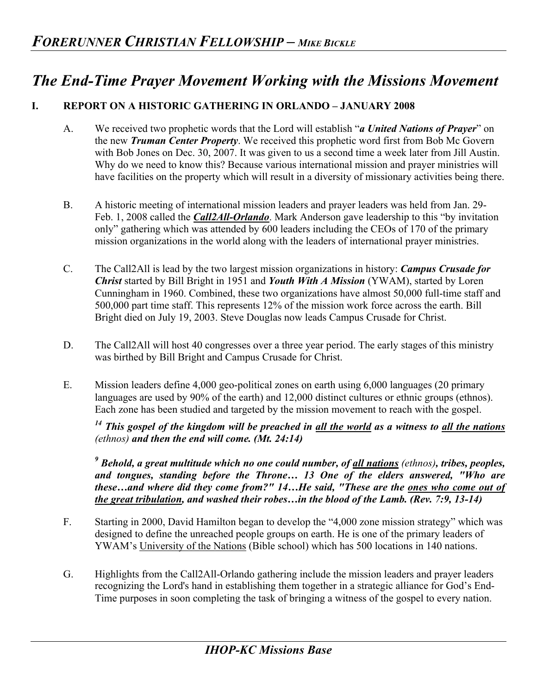## *The End-Time Prayer Movement Working with the Missions Movement*

## **I. REPORT ON A HISTORIC GATHERING IN ORLANDO – JANUARY 2008**

- A. We received two prophetic words that the Lord will establish "*a United Nations of Prayer*" on the new *Truman Center Property*. We received this prophetic word first from Bob Mc Govern with Bob Jones on Dec. 30, 2007. It was given to us a second time a week later from Jill Austin. Why do we need to know this? Because various international mission and prayer ministries will have facilities on the property which will result in a diversity of missionary activities being there.
- B. A historic meeting of international mission leaders and prayer leaders was held from Jan. 29- Feb. 1, 2008 called the *Call2All-Orlando*. Mark Anderson gave leadership to this "by invitation only" gathering which was attended by 600 leaders including the CEOs of 170 of the primary mission organizations in the world along with the leaders of international prayer ministries.
- C. The Call2All is lead by the two largest mission organizations in history: *Campus Crusade for Christ* started by Bill Bright in 1951 and *Youth With A Mission* (YWAM), started by Loren Cunningham in 1960. Combined, these two organizations have almost 50,000 full-time staff and 500,000 part time staff. This represents 12% of the mission work force across the earth. Bill Bright died on July 19, 2003. Steve Douglas now leads Campus Crusade for Christ.
- D. The Call2All will host 40 congresses over a three year period. The early stages of this ministry was birthed by Bill Bright and Campus Crusade for Christ.
- E. Mission leaders define 4,000 geo-political zones on earth using 6,000 languages (20 primary languages are used by 90% of the earth) and 12,000 distinct cultures or ethnic groups (ethnos). Each zone has been studied and targeted by the mission movement to reach with the gospel.

*14 This gospel of the kingdom will be preached in all the world as a witness to all the nations (ethnos) and then the end will come. (Mt. 24:14)* 

*9 Behold, a great multitude which no one could number, of all nations (ethnos), tribes, peoples, and tongues, standing before the Throne… 13 One of the elders answered, "Who are these…and where did they come from?" 14…He said, "These are the ones who come out of the great tribulation, and washed their robes…in the blood of the Lamb. (Rev. 7:9, 13-14)* 

- F. Starting in 2000, David Hamilton began to develop the "4,000 zone mission strategy" which was designed to define the unreached people groups on earth. He is one of the primary leaders of YWAM's University of the Nations (Bible school) which has 500 locations in 140 nations.
- G. Highlights from the Call2All-Orlando gathering include the mission leaders and prayer leaders recognizing the Lord's hand in establishing them together in a strategic alliance for God's End-Time purposes in soon completing the task of bringing a witness of the gospel to every nation.